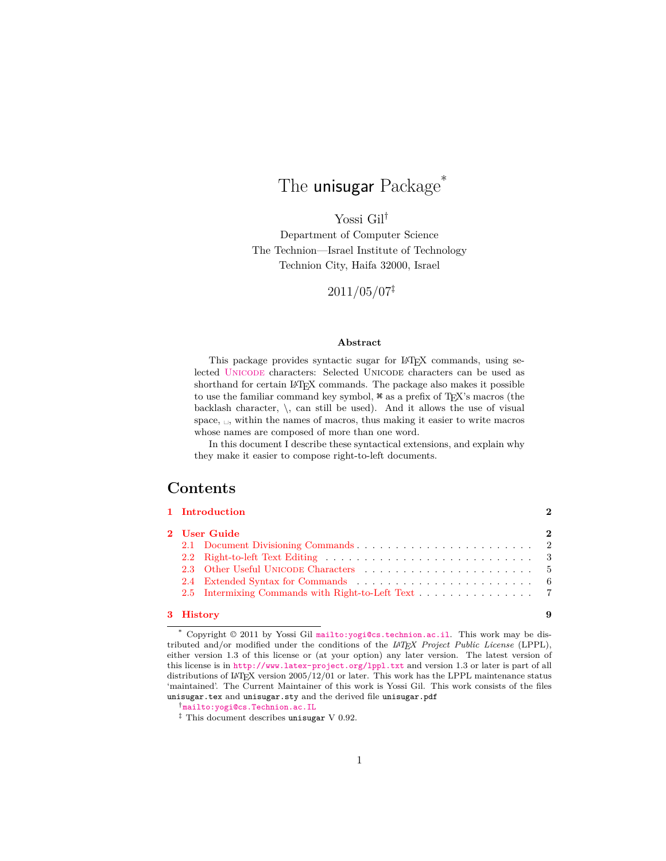# The **unisugar** Package<sup>\*</sup>

Yossi Gil†

Department of Computer Science The Technion—Israel Institute of Technology Technion City, Haifa 32000, Israel

 $2011/05/07^{\ddagger}$ 

#### **Abstract**

This package provides syntactic sugar for LAT<sub>EX</sub> commands, using selected [Unicode](http://www.unicode.org/standard/standard.html) characters: Selected Unicode characters can be used as shorthand for certain LAT<sub>EX</sub> commands. The package also makes it possible to use the familiar command key symbol,  $\ast$  as a prefix of T<sub>E</sub>X's macros (the backlash character,  $\setminus$ , can still be used). And it allows the use of visual space,  $\Box$ , within the names of macros, thus making it easier to write macros whose names are composed of more than one word.

In this document I describe these syntactical extensions, and explain why they make it easier to compose right-to-left documents.

## **Contents**

|              | 1 Introduction |  |  |  |
|--------------|----------------|--|--|--|
| 2 User Guide |                |  |  |  |
|              |                |  |  |  |
|              |                |  |  |  |
|              |                |  |  |  |
|              |                |  |  |  |
|              |                |  |  |  |

#### **[3 History](#page-8-0) 9**

\* Copyright © 2011 by Yossi Gil <mailto:yogi@cs.technion.ac.il>. This work may be distributed and/or modified under the conditions of the *LATEX Project Public License* (LPPL), either version 1.3 of this license or (at your option) any later version. The latest version of this license is in <http://www.latex-project.org/lppl.txt> and version 1.3 or later is part of all distributions of IATEX version  $2005/12/01$  or later. This work has the LPPL maintenance status 'maintained'. The Current Maintainer of this work is Yossi Gil. This work consists of the files unisugar.tex and unisugar.sty and the derived file unisugar.pdf

<sup>†</sup><mailto:yogi@cs.Technion.ac.IL>

 $\ddagger$  This document describes unisugar V 0.92.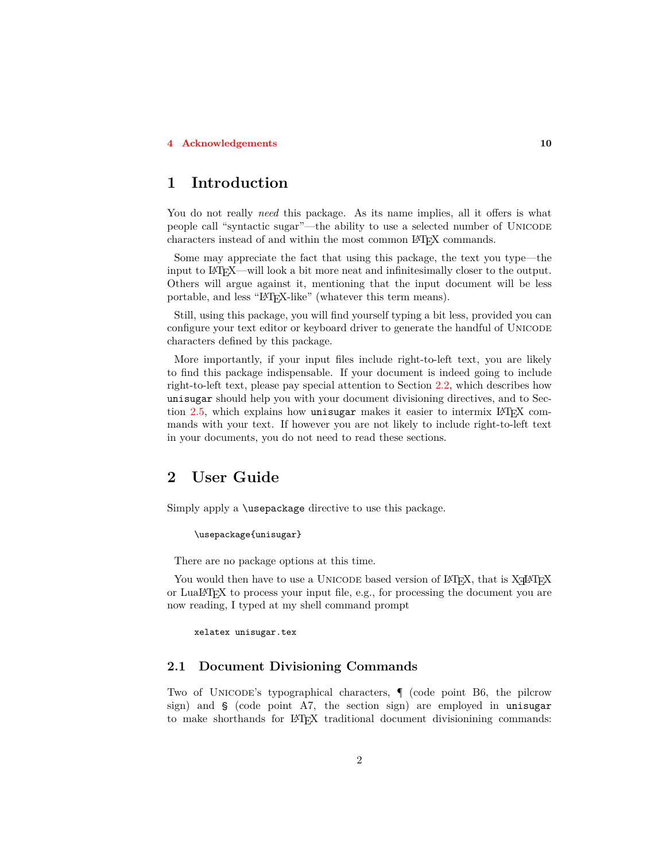#### **[4 Acknowledgements](#page-9-0) 10**

# <span id="page-1-0"></span>**1 Introduction**

You do not really *need* this package. As its name implies, all it offers is what people call "syntactic sugar"—the ability to use a selected number of Unicode characters instead of and within the most common LATEX commands.

Some may appreciate the fact that using this package, the text you type—the input to LATEX—will look a bit more neat and infinitesimally closer to the output. Others will argue against it, mentioning that the input document will be less portable, and less "LATEX-like" (whatever this term means).

Still, using this package, you will find yourself typing a bit less, provided you can configure your text editor or keyboard driver to generate the handful of UNICODE characters defined by this package.

More importantly, if your input files include right-to-left text, you are likely to find this package indispensable. If your document is indeed going to include right-to-left text, please pay special attention to Section [2.2](#page-2-0), which describes how unisugar should help you with your document divisioning directives, and to Section [2.5,](#page-6-0) which explains how unisugar makes it easier to intermix LATEX commands with your text. If however you are not likely to include right-to-left text in your documents, you do not need to read these sections.

## <span id="page-1-1"></span>**2 User Guide**

Simply apply a \usepackage directive to use this package.

\usepackage{unisugar}

There are no package options at this time.

You would then have to use a UNICODE based version of LAT<sub>E</sub>X, that is X<sub>H</sub>AT<sub>E</sub>X or LuaLATEX to process your input file, e.g., for processing the document you are now reading, I typed at my shell command prompt

xelatex unisugar.tex

## <span id="page-1-2"></span>**2.1 Document Divisioning Commands**

Two of Unicode's typographical characters, ¶ (code point B6, the pilcrow sign) and § (code point A7, the section sign) are employed in unisugar to make shorthands for LATEX traditional document divisionining commands: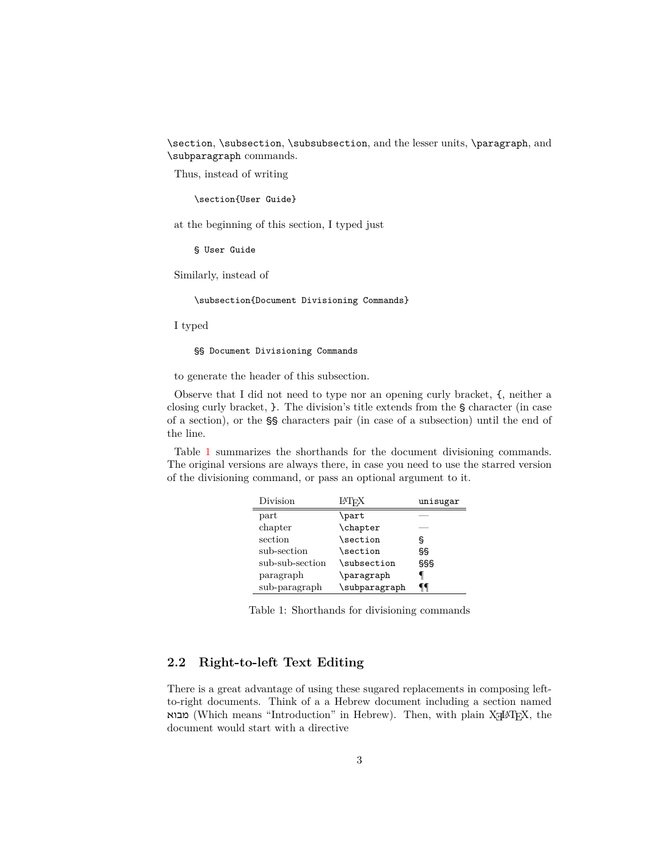\section, \subsection, \subsubsection, and the lesser units, \paragraph, and \subparagraph commands.

Thus, instead of writing

\section{User Guide}

at the beginning of this section, I typed just

§ User Guide

Similarly, instead of

\subsection{Document Divisioning Commands}

I typed

§§ Document Divisioning Commands

to generate the header of this subsection.

Observe that I did not need to type nor an opening curly bracket, {, neither a closing curly bracket, }. The division's title extends from the § character (in case of a section), or the §§ characters pair (in case of a subsection) until the end of the line.

Table [1](#page-2-1) summarizes the shorthands for the document divisioning commands. The original versions are always there, in case you need to use the starred version of the divisioning command, or pass an optional argument to it.

| Division        | LAT <sub>F</sub> X | unisugar |
|-----------------|--------------------|----------|
| part            | \part              |          |
| chapter         | \chapter           |          |
| section         | \section           | ş        |
| sub-section     | \section           | SS       |
| sub-sub-section | \subsection        | SSS      |
| paragraph       | \paragraph         |          |
| sub-paragraph   | \subparagraph      |          |

<span id="page-2-1"></span>Table 1: Shorthands for divisioning commands

## <span id="page-2-0"></span>**2.2 Right-to-left Text Editing**

There is a great advantage of using these sugared replacements in composing leftto-right documents. Think of a a Hebrew document including a section named מבוא (Which means "Introduction" in Hebrew). Then, with plain XaHAT<sub>E</sub>X, the document would start with a directive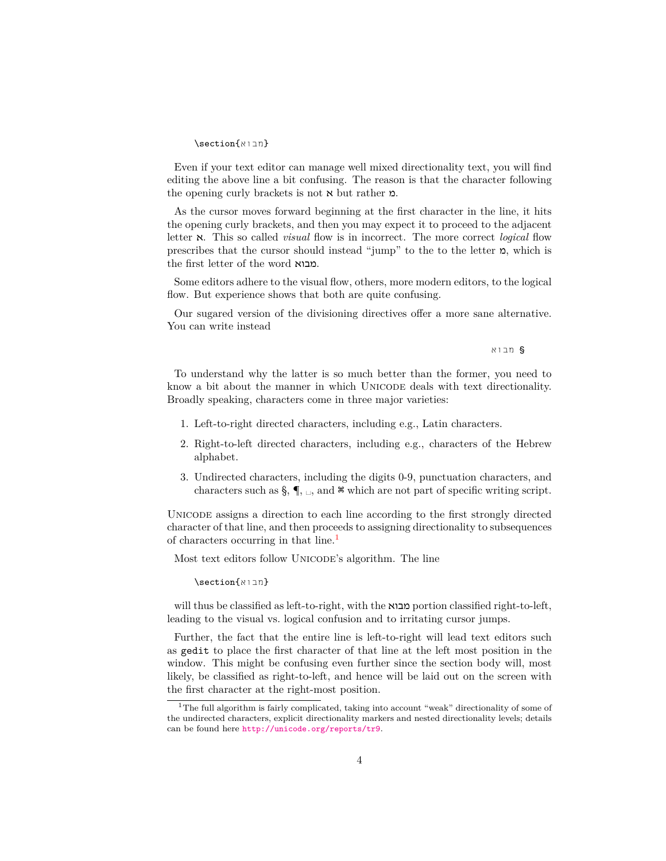#### {מבוא}section\

Even if your text editor can manage well mixed directionality text, you will find editing the above line a bit confusing. The reason is that the character following the opening curly brackets is not א but rather מ.

As the cursor moves forward beginning at the first character in the line, it hits the opening curly brackets, and then you may expect it to proceed to the adjacent letter א. This so called *visual* flow is in incorrect. The more correct *logical* flow prescribes that the cursor should instead "jump" to the to the letter  $p$ , which is the first letter of the word מבוא.

Some editors adhere to the visual flow, others, more modern editors, to the logical flow. But experience shows that both are quite confusing.

Our sugared version of the divisioning directives offer a more sane alternative. You can write instead

§ מבוא

To understand why the latter is so much better than the former, you need to know a bit about the manner in which UNICODE deals with text directionality. Broadly speaking, characters come in three major varieties:

- 1. Left-to-right directed characters, including e.g., Latin characters.
- 2. Right-to-left directed characters, including e.g., characters of the Hebrew alphabet.
- 3. Undirected characters, including the digits 0-9, punctuation characters, and characters such as  $\S$ ,  $\P$ ,  $\Box$ , and  $\mathcal{K}$  which are not part of specific writing script.

Unicode assigns a direction to each line according to the first strongly directed character of that line, and then proceeds to assigning directionality to subsequences of characters occurring in that line.<sup>[1](#page-3-0)</sup>

Most text editors follow UNICODE's algorithm. The line

{מבוא}section\

will thus be classified as left-to-right, with the מבוא portion classified right-to-left, leading to the visual vs. logical confusion and to irritating cursor jumps.

Further, the fact that the entire line is left-to-right will lead text editors such as gedit to place the first character of that line at the left most position in the window. This might be confusing even further since the section body will, most likely, be classified as right-to-left, and hence will be laid out on the screen with the first character at the right-most position.

<span id="page-3-0"></span><sup>&</sup>lt;sup>1</sup>The full algorithm is fairly complicated, taking into account "weak" directionality of some of the undirected characters, explicit directionality markers and nested directionality levels; details can be found here <http://unicode.org/reports/tr9>.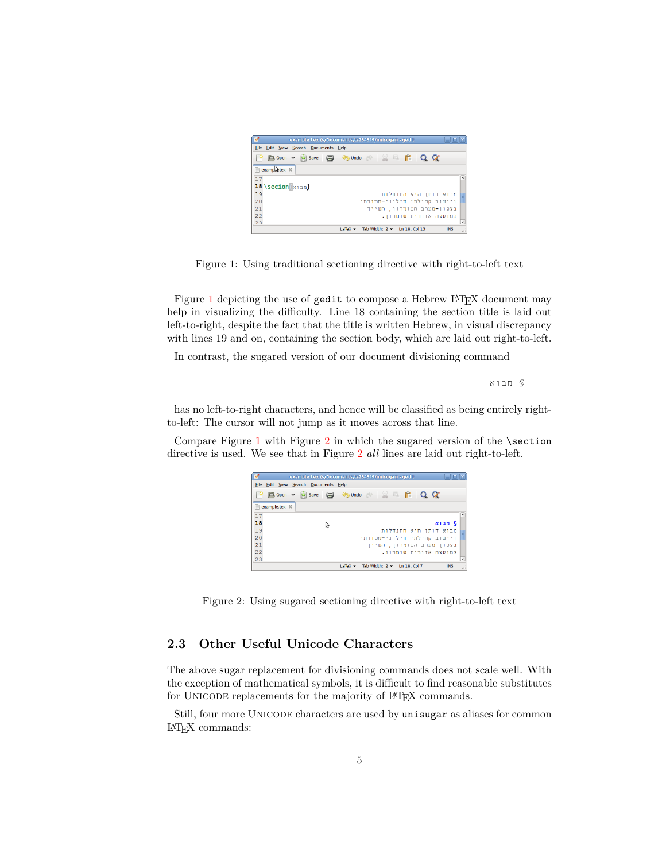

Figure 1: Using traditional sectioning directive with right-to-left text

<span id="page-4-1"></span>Figure [1](#page-4-1) depicting the use of gedit to compose a Hebrew LAT<sub>E</sub>X document may help in visualizing the difficulty. Line 18 containing the section title is laid out left-to-right, despite the fact that the title is written Hebrew, in visual discrepancy with lines 19 and on, containing the section body, which are laid out right-to-left.

In contrast, the sugared version of our document divisioning command

§ מבוא

has no left-to-right characters, and hence will be classified as being entirely rightto-left: The cursor will not jump as it moves across that line.

Compare Figure [1](#page-4-1) with Figure  $2$  in which the sugared version of the **\section** directive is used. We see that in Figure [2](#page-4-2) *all* lines are laid out right-to-left.

| Ø                  | example.tex (~/Documents/cs234319/unisugar) - gedit                                                     |  |  |  |  |  |  |  |
|--------------------|---------------------------------------------------------------------------------------------------------|--|--|--|--|--|--|--|
| File               | Edit View Search Documents Help                                                                         |  |  |  |  |  |  |  |
| 19                 | $\Box$ Sundo $\odot$ $\parallel$ $\parallel$ $\Box$<br>$A$ Q $\alpha$<br>Open $\vee$ $\frac{1}{2}$ Save |  |  |  |  |  |  |  |
| m<br>example.tex X |                                                                                                         |  |  |  |  |  |  |  |
| 17                 | $\overline{ }$                                                                                          |  |  |  |  |  |  |  |
| 18                 | § מבוא<br>じ                                                                                             |  |  |  |  |  |  |  |
| 19                 | מבוא דותן היא התנחלות                                                                                   |  |  |  |  |  |  |  |
| 20                 | ויישוב קהילתי חילוני-מסורתי                                                                             |  |  |  |  |  |  |  |
| 21                 | בצפון-מערב השומרון, השייד                                                                               |  |  |  |  |  |  |  |
| 22                 | למועצה אזורית שומרוו.                                                                                   |  |  |  |  |  |  |  |
| 23                 |                                                                                                         |  |  |  |  |  |  |  |
|                    | Tab Width: $2 \times 1013$ . Col 7<br><b>INS</b><br>$LaTeX \sim$<br>æ                                   |  |  |  |  |  |  |  |

<span id="page-4-2"></span>Figure 2: Using sugared sectioning directive with right-to-left text

## <span id="page-4-0"></span>**2.3 Other Useful Unicode Characters**

The above sugar replacement for divisioning commands does not scale well. With the exception of mathematical symbols, it is difficult to find reasonable substitutes for UNICODE replacements for the majority of LAT<sub>EX</sub> commands.

Still, four more Unicode characters are used by unisugar as aliases for common LATEX commands: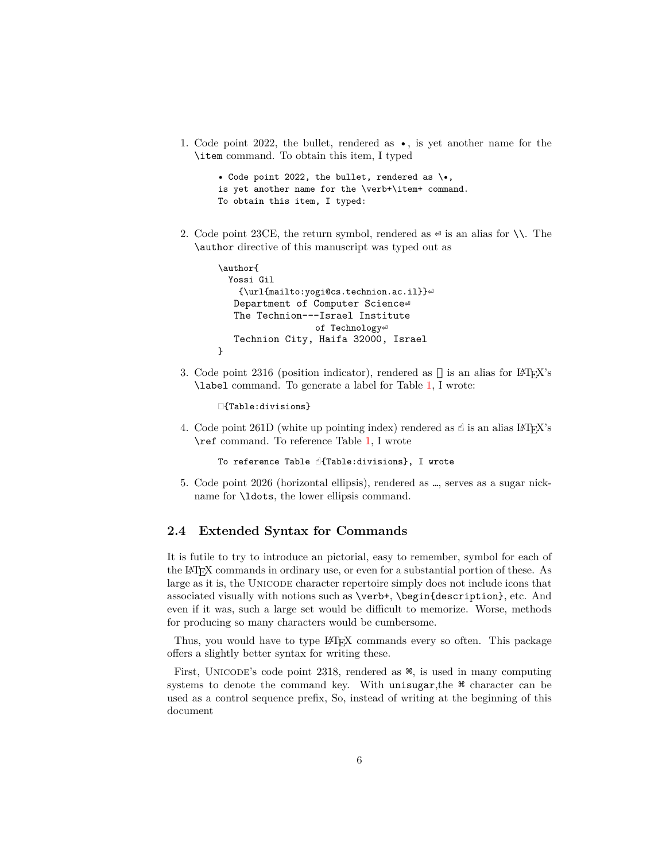1. Code point 2022, the bullet, rendered as •, is yet another name for the \item command. To obtain this item, I typed

```
• Code point 2022, the bullet, rendered as \•,
is yet another name for the \verb+\item+ command.
To obtain this item, I typed:
```
2. Code point 23CE, the return symbol, rendered as  $\epsilon$  is an alias for  $\setminus\setminus$ . The \author directive of this manuscript was typed out as

```
\author{
  Yossi Gil
    {\url{mailto:yogi@cs.technion.ac.il}}
   Department of Computer Science
   The Technion---Israel Institute
                   of Technology<sup>el</sup>
   Technion City, Haifa 32000, Israel
}
```
3. Code point 2316 (position indicator), rendered as  $\Box$  is an alias for LATEX's \label command. To generate a label for Table [1](#page-2-1), I wrote:

{Table:divisions}

4. Code point 261D (white up pointing index) rendered as  $\mathcal{A}$  is an alias LAT<sub>E</sub>X's \ref command. To reference Table [1,](#page-2-1) I wrote

To reference Table ☝{Table:divisions}, I wrote

5. Code point 2026 (horizontal ellipsis), rendered as …, serves as a sugar nickname for \ldots, the lower ellipsis command.

### <span id="page-5-0"></span>**2.4 Extended Syntax for Commands**

It is futile to try to introduce an pictorial, easy to remember, symbol for each of the LATEX commands in ordinary use, or even for a substantial portion of these. As large as it is, the Unicode character repertoire simply does not include icons that associated visually with notions such as \verb+, \begin{description}, etc. And even if it was, such a large set would be difficult to memorize. Worse, methods for producing so many characters would be cumbersome.

Thus, you would have to type LATEX commands every so often. This package offers a slightly better syntax for writing these.

First, Unicode's code point 2318, rendered as ⌘, is used in many computing systems to denote the command key. With unisugar, the  $\frac{1}{2}$  character can be used as a control sequence prefix, So, instead of writing at the beginning of this document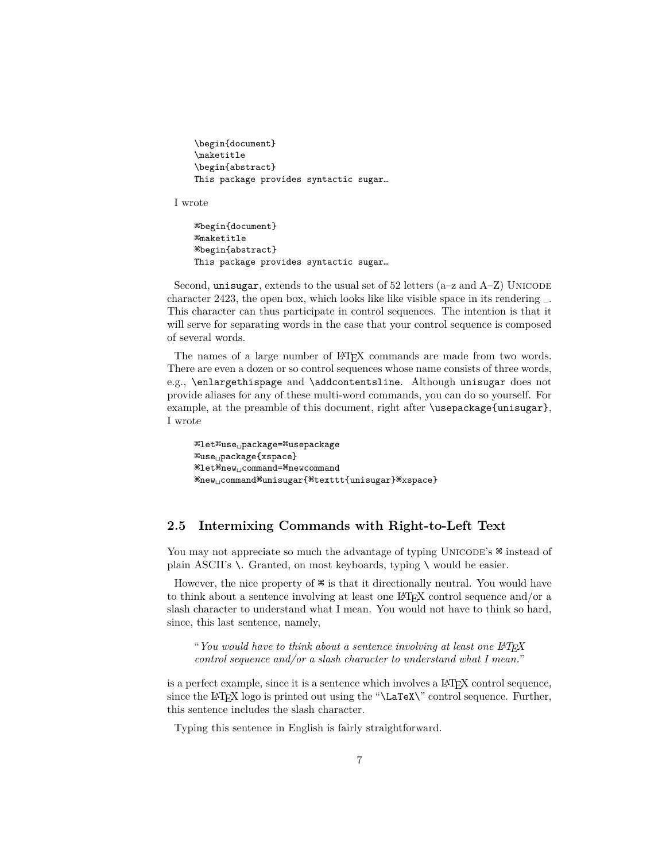```
\begin{document}
\maketitle
\begin{abstract}
This package provides syntactic sugar…
```
I wrote

```
⌘begin{document}
⌘maketitle
⌘begin{abstract}
This package provides syntactic sugar…
```
Second, unisugar, extends to the usual set of  $52$  letters (a–z and  $A-Z$ ) UNICODE character 2423, the open box, which looks like like visible space in its rendering This character can thus participate in control sequences. The intention is that it will serve for separating words in the case that your control sequence is composed of several words.

The names of a large number of LAT<sub>EX</sub> commands are made from two words. There are even a dozen or so control sequences whose name consists of three words, e.g., \enlargethispage and \addcontentsline. Although unisugar does not provide aliases for any of these multi-word commands, you can do so yourself. For example, at the preamble of this document, right after \usepackage{unisugar}, I wrote

```
⌘let⌘use␣package=⌘usepackage
⌘use␣package{xspace}
⌘let⌘new␣command=⌘newcommand
⌘new␣command⌘unisugar{⌘texttt{unisugar}⌘xspace}
```
## <span id="page-6-0"></span>**2.5 Intermixing Commands with Right-to-Left Text**

You may not appreciate so much the advantage of typing UNICODE's  $\mathcal{F}$  instead of plain ASCII's  $\setminus$ . Granted, on most keyboards, typing  $\setminus$  would be easier.

However, the nice property of  $\frac{1}{2}$  is that it directionally neutral. You would have to think about a sentence involving at least one LATEX control sequence and/or a slash character to understand what I mean. You would not have to think so hard, since, this last sentence, namely,

"*You would have to think about a sentence involving at least one LATEX control sequence and/or a slash character to understand what I mean.*"

is a perfect example, since it is a sentence which involves a L<sup>AT</sup>EX control sequence, since the LAT<sub>EX</sub> logo is printed out using the " $\text{Larea}\$ " control sequence. Further, this sentence includes the slash character.

Typing this sentence in English is fairly straightforward.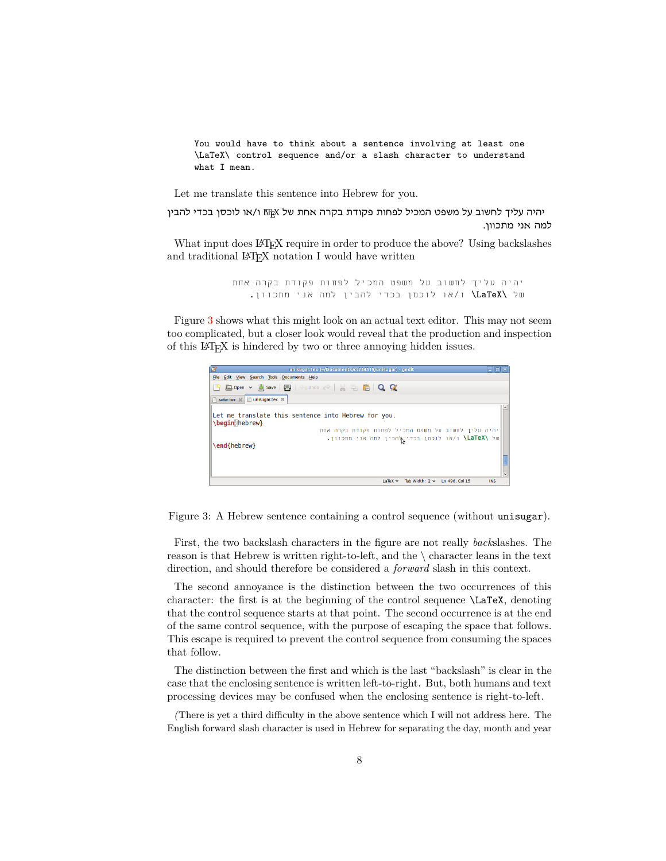You would have to think about a sentence involving at least one \LaTeX\ control sequence and/or a slash character to understand what I mean.

Let me translate this sentence into Hebrew for you.

יהיה עליך לחשוב על משפט המכיל לפחות פקודת בקרה אחת של LATEX ו/או לוכסן בכדי להבין למה אני מתכוון.

What input does LATEX require in order to produce the above? Using backslashes and traditional IATEX notation I would have written

> יהיה עליך לחשוב על משפט המכיל לפחות פקודת בקרה אחת של \LaTeX \ו/או לוכסן בכדי להבין למה אני מתכוון.

Figure [3](#page-7-0) shows what this might look on an actual text editor. This may not seem too complicated, but a closer look would reveal that the production and inspection of this LATEX is hindered by two or three annoying hidden issues.



<span id="page-7-0"></span>Figure 3: A Hebrew sentence containing a control sequence (without unisugar).

First, the two backslash characters in the figure are not really *back*slashes. The reason is that Hebrew is written right-to-left, and the \ character leans in the text direction, and should therefore be considered a *forward* slash in this context.

The second annoyance is the distinction between the two occurrences of this character: the first is at the beginning of the control sequence \LaTeX, denoting that the control sequence starts at that point. The second occurrence is at the end of the same control sequence, with the purpose of escaping the space that follows. This escape is required to prevent the control sequence from consuming the spaces that follow.

The distinction between the first and which is the last "backslash" is clear in the case that the enclosing sentence is written left-to-right. But, both humans and text processing devices may be confused when the enclosing sentence is right-to-left.

*(*There is yet a third difficulty in the above sentence which I will not address here. The English forward slash character is used in Hebrew for separating the day, month and year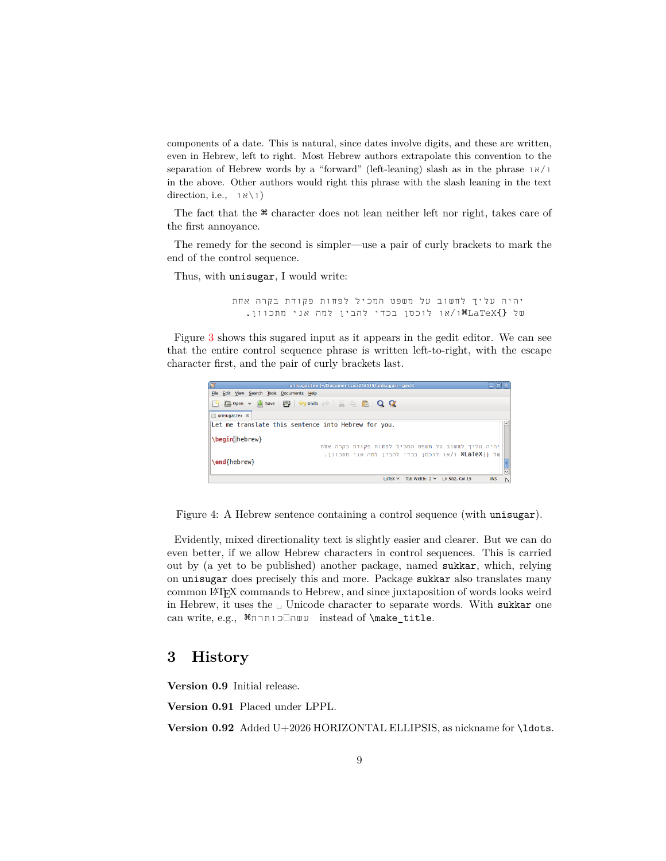components of a date. This is natural, since dates involve digits, and these are written, even in Hebrew, left to right. Most Hebrew authors extrapolate this convention to the separation of Hebrew words by a "forward" (left-leaning) slash as in the phrase או/ו in the above. Other authors would right this phrase with the slash leaning in the text direction, i.e.,  $\exists x \setminus 1$ 

The fact that the ⌘ character does not lean neither left nor right, takes care of the first annoyance.

The remedy for the second is simpler—use a pair of curly brackets to mark the end of the control sequence.

Thus, with unisugar, I would write:

יהיה עליך לחשוב על משפט המכיל לפחות פקודת בקרה אחת של {}LaTeX⌘ו/או לוכסן בכדי להבין למה אני מתכוון.

Figure [3](#page-7-0) shows this sugared input as it appears in the gedit editor. We can see that the entire control sequence phrase is written left-to-right, with the escape character first, and the pair of curly brackets last.

| B<br>unisugar.tex (~/Documents/cs234319/unisugar) - gedit                 |   |  |  |  |  |
|---------------------------------------------------------------------------|---|--|--|--|--|
| Edit View Search Tools Documents Help<br>File                             |   |  |  |  |  |
| <b>Bopen v B Save 日 G Undo e &amp; H B Q Q</b><br>- 19                    |   |  |  |  |  |
| unisugar.tex X                                                            |   |  |  |  |  |
| Let me translate this sentence into Hebrew for you.<br>$\hat{ }$          |   |  |  |  |  |
| \begin hebrew}                                                            |   |  |  |  |  |
| יהיה עליך לחשוב על משפט המכיל לפחות פקודת בקרה אחת                        |   |  |  |  |  |
| של {}RLaTeX# ו/או לוכסן בכדי להבין למה אני מתכוון.                        |   |  |  |  |  |
| \end{hebrew}                                                              |   |  |  |  |  |
|                                                                           |   |  |  |  |  |
| Tab Width: $2 \times$<br>Ln 582, Col 15<br><b>INS</b><br>$I$ allex $\vee$ | Ν |  |  |  |  |

Figure 4: A Hebrew sentence containing a control sequence (with unisugar).

Evidently, mixed directionality text is slightly easier and clearer. But we can do even better, if we allow Hebrew characters in control sequences. This is carried out by (a yet to be published) another package, named sukkar, which, relying on unisugar does precisely this and more. Package sukkar also translates many common LATEX commands to Hebrew, and since juxtaposition of words looks weird in Hebrew, it uses the  $\Box$  Unicode character to separate words. With sukkar one can write, e.g., ⌘כותרתעשה instead of \make\_title.

# <span id="page-8-0"></span>**3 History**

**Version 0.9** Initial release.

**Version 0.91** Placed under LPPL.

Version 0.92 Added U+2026 HORIZONTAL ELLIPSIS, as nickname for **\ldots**.